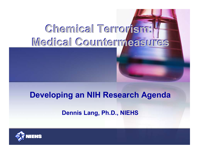## Chemical Terrorism: Medical Countermeasures

#### Developing an NIH Research Agenda

#### Dennis Lang, Ph.D., NIEHS

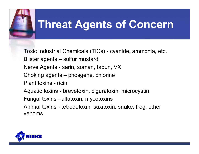

### Threat Agents of Concern

Toxic Industrial Chemicals (TICs) cyanide, ammonia, etc. Blister agents – sulfur mustard Nerve Agents - sarin, soman, tabun, VX Choking agents – phosgene, chlorine Plant toxins - ricin Aquatic toxins - brevetoxin, ciguratoxin, microcystin Fungal toxins - aflatoxin, mycotoxins Animal toxins - tetrodotoxin, saxitoxin, snake, frog, other venoms

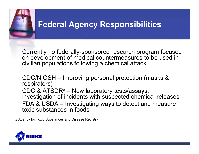

### Federal Agency Responsibilities

Currently <u>no federally-sponsored research program</u> focused on development of medical countermeasures to be used in civilian populations following <sup>a</sup> chemical attack.

CDC/NIOSH – Improving personal protection (masks & respirators) CDC & ATSDR# – New laboratory tests/assays, investigation of incidents with suspected chemical releases FDA & USDA – Investigating ways to detect and measure toxic substances in foods

# Agency for Toxic Substances and Disease Registry

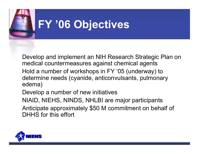

### FY '06 Objectives

Develop and implement an NIH Research Strategic Plan on medical countermeasures against chemical agents Hold <sup>a</sup> number of workshops in FY '05 (underway) to determine needs (cyanide, anticonvulsants, pulmonary edema)

Develop <sup>a</sup> number of new initiatives

NIAID, NIEHS, NINDS, NHLBI are major participants

Anticipate approximately \$50 M commitment on behalf of DHHS for this effort

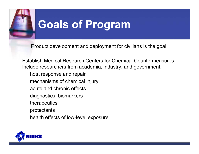

### Goals of Program

Product development and deployment for civilians is the goal

Establish Medical Research Centers for Chemical Countermeasures – Include researchers from academia, industry, and government.

- host response and repair
- mechanisms of chemical injury
- acute and chronic effects
- diagnostics, biomarkers
- therapeutics
- protectants
- health effects of low-level exposure

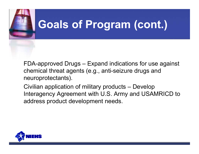

FDA-approved Drugs – Expand indications for use against chemical threat agents (e.g., anti-seizure drugs and neuroprotectants).

Civilian application of military products – Develop Interagency Agreement with U.S. Army and USAMRICD to address product development needs.

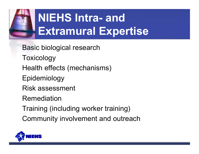

## NIEHS Intra- and Extramural Expertise

Basic biological research

- Toxicology
- Health effects (mechanisms)
- Epidemiology
- Risk assessment
- Remediation
- Training (including worker training)
- Community involvement and outreach